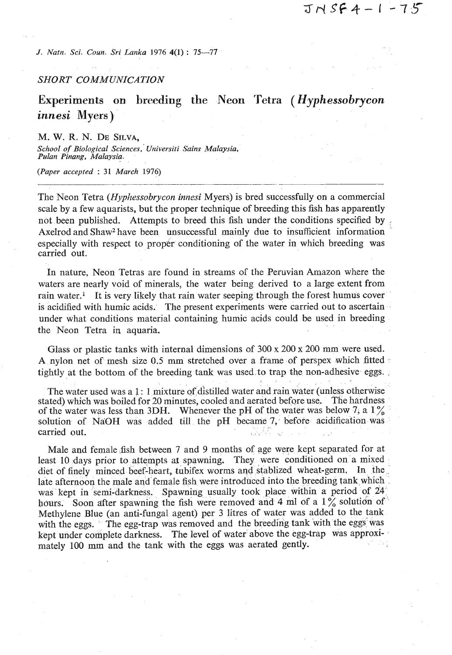*J. Natn. Sci. Coun. Sri Lanka 1976* **4(1)** : 75-77

# *SHORT COMMUNICATION*

**Experiments on breeding the Neon Tetra** *(Hyphessobrycon innesi* **Myers)** 

M. **W.** R. N. DE SILVA, *School of Biological Sciences,' Universiti Sains Malaysia. Pulan Pinang, Malaysia.* 

*(Paper accepted* : **31** *March 1976)* 

The Neon Tetra *(Hyphessobrycon innesi* Myers) is bred successfully on a commercial scale by a few aquarists, but the proper technique of breeding this fish has apparently not been published. Attempts to breed this fish under the conditions specified by : Axelrod and Shaw<sup>2</sup> have been unsuccessful mainly due to insufficient information especially with respect to proper conditioning of the water in which breeding was carried out.

In nature, Neon Tetras are found in streams of the Peruvian Amazon where the waters are nearly void of minerals, the water being derived to a large extent from rain water.' It is very likely that rain water seeping through the forest humus cover is acidified with humic acids. The present experiments were carried out to ascertain under what conditions material containing humic acids could be used in breeding the Neon Tetra in aquaria.

Glass or plastic tanks with internal dimensions of  $300 \times 200 \times 200$  mm were used. A nylon net of mesh size 0.5 mm stretched over a frame of perspex which fitted tightly at the bottom of the breeding tank was used.to trap the non-adhesive eggs. .

The water used was a  $1:1$  mixture of distilled water and rain water (unless otherwise stated) which was boiled for 20 minutes, cooled and aerated before use. The hardness of the water was less than 3DH. Whenever the pH of the water was below  $7$ , a  $1\%$ solution of NaOH was added till the pH became 7, before acidification was carried out carried out.

Male and female fish between 7 and 9 months of age were kept separated for at least 10 days prior to attempts at spawning. They were conditioned on a mixed diet of finely minced beef-heart, tubifex worms and stablized wheat-germ, In the. late afternoon the male and female fish were introduced into the breeding tank which was kept in semi-darkness. Spawning usually took place within a period of 24 hours. Soon after spawning the fish were removed and 4 ml of a  $1\%$  solution of Methylene Blue (an anti-fungal agent) per **3** litres of water was added to the tank with the eggs. The egg-trap was removed and the breeding tank with the eggs was kept under complete darkness. The level of water above the egg-trap was approximately 100 mm and the tank with the eggs was aerated gently.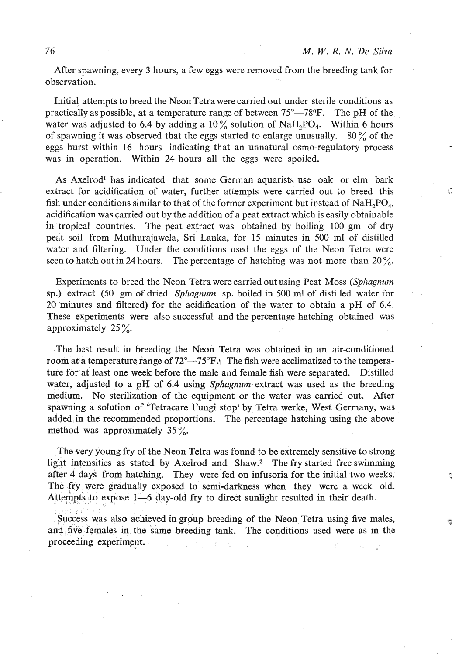After spawning, every **3** hours, a few eggs were removed from the breeding tank for observation.

Initial attempts to breed the Neon Tetra were carried out under sterile conditions as practically as possible, at a temperature range of between **75"-7S°F.** The pH of the water was adjusted to 6.4 by adding a 10% solution of NaH<sub>2</sub>PO<sub>4</sub>. Within 6 hours of spawning it was observed that the eggs started to enlzrge unusually. **80** % of the eggs burst within 16 hours indicating that an unnatural osmo-regulatory process was in operation. Within 24 hours all the eggs were spoiled.

As Axelrod1 has indicated that some German aquarists use oak or elm bark extract for acidification of water, further attempts were carried out to breed this fish under conditions similar to that of the former experiment but instead of  $N_aH_1PO_a$ , acidification was carried out by the addition of a peat extract which is easily obtainable in tropical countries. The peat extract was obtained by boiling **100** gm of dry peat soil from Muthurajawela, Sri Lanka, for **15** minutes in **500 ml** of distilled water and filtering. Under the conditions used the eggs of the Neon Tetra were seen to hatch out in **24** hours. The percentage of hatching was not more than **20** %.

Experiments to breed the Neon Tetra were carried out using Peat Moss (Sphagnum sp.) extract (50 gm of dried Sphagnum sp. boiled in **500** ml of distilled water for 20 minutes and filtered) for the acidification of the water to obtain a pH of 6.4. These experiments were also successful and the percentage hatching obtained was approximately **25** %.

The best result in breeding the Neon Tetra was obtained in an air-conditioned room at a temperature range of  $72^{\circ} - 75^{\circ}$ F. The fish were acclimatized to the temperature for at least one week before the male and female 5sh were separated. Distilled water, adjusted to a pH of 6.4 using *Sphagnum* extract was used as the breeding medium. No sterilization of the equipment or the water was carried out. After spawning a solution of 'Tetracare Fungi stop' by Tetra werke, West Germany, was added in the recommended proportions. The percentage hatching using the above method was approximately 35 $\frac{\%}{\%}$ .

The very young fry of the Neon Tetra was found to be extremely sensitive to strong light intensities as stated by Axelrod and Shaw.2 The **fry** started free swimming after **4** days from hatching. They were fed on infusoria for the initial two weeks. The fry were gradually exposed to semi-darkness when they were a week old. Attempts to expose 1-6 day-old fry to direct sunlight resulted in their death.

Success was also achieved in group breeding of the Neon Tetra using five males, and five' females in. the same breeding tank. The conditions used were as in the proceeding experiment.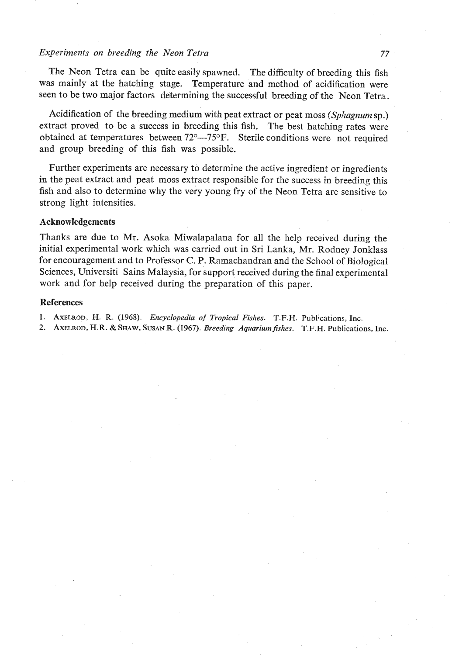# *Experiments on breeding the Neon Tetra* **77**

The Neon Tetra can be quite easily spawned. The difficulty of breeding this fish was mainly at the hatching stage. Temperature and method of acidification were seen to be two major factors determining the successful breeding of the Neon Tetra.

Acidification of the breeding medium with peat extract or peat moss *{Sphagnum* sp.) extract proved to be a success in breeding this fish. The best hatching rates were obtained at temperatures between  $72^{\circ}$ — $75^{\circ}$ F. Sterile conditions were not required and group breeding of this fish was possible.

Further experiments are necessary to determine the active ingredient or ingredients in the peat extract and peat moss extract responsible for the success in breeding this fish and also to determine why the very young fry of the Neon Tetra are sensitive to strong light intensities.

# **Acknowledgements**

Thanks are due to Mr. Asoka Miwalapalana for all the help received during the initial experimental work which was carried out in Sri Lanka, Mr. Rodney Jonklass for encouragement and to Professor *C.* P. Ramachandran and the School of Biological Sciences, Universiti Sains Malaysia, for support received during the final experimental work and for help received during the preparation of this paper.

#### **References**

**1. AXELROD, H.** *R. (1968). Encyclopedia* **of** *Tropical Fishes. T.F.H. Publications, lnc.* 

**2. AXELROD, H.R.** & **SHAW, SUSAN R. (1967).** *Breeding Aquariumfishes. T.F.H.* **Publications,** *Inc.*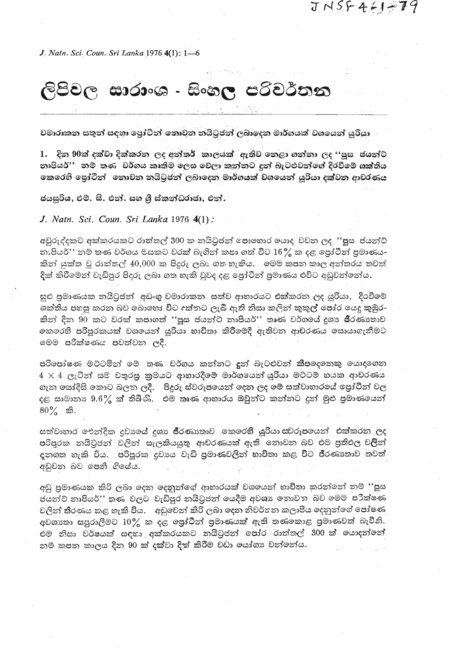$JNSF4H+79$ 

J. Natn. Sci. Coun. Sri Lanka 1976 4(1): 1-6

# ලිපිවල සාරාංශ - සිංහල පරිවර්තන

වමාරාකන සතුන් සඳහා පෝටීන් කොවන නයිටුජන් ලබාදෙන මාර්ගයක් වශයෙන් යුරියා

1. දින 90ක් දක්වා දික්කරන ලද අන්තර් කාලයක් ඇතිව නෙළා ගන්නා ලද ''පූස ජයන්ට නාපියර්'' නම් තණ වර්ගය කෘතිම ලෙස වේලා කන්නට දුන් බැටළුවන්ගේ දිරවීමේ ශක්තිය කෙරෙහි පෝටීන් නොවන නයිටුජන් ලබාදෙන මාර්ගයක් වශයෙන් යුරියා දක්වන ආචරණය

ජයසුරිය, එම්. සී. එන්. සහ ශී ස්කන්ධරාජා, එන්.

J. Natn. Sci. Coun. Sri Lanka 1976 4(1):

අවුරුද්දකට අක්කරයකට රාත්තල් 300 ක නයිටුජන් පොහොර යොද වවන ලද ''පූස ජයන්ට් නාපියර්'' නම් තණ වර්ගය මසකට වරක් බැගින් කපා ගත් විට  $16\frac{9}{6}$  ක දළ පෝටීන් පුමාණය-කින් යුක්ත වූ රාත්තල් 40,000 ක පිදුරු ලබා ගත හැකිය. මෙම කපන කාල අන්තරය තවත් දික් කිරීමෙන් වැඩිපුර පිදුරු ලබා ගත හැකි වුවද දළ පෝටීන් පුමාණය එවිට අඩුවන්නේය.

සුළු පුමාණයක නයිටුජන්. අඩංගු වමාරාකන. සත්ව ආහාරයට එක්කරන ලද යුරියා, දිරවීමේ ශක්තිය පහසු කරන බව බොහෝ විට දක්තට ලැබී ඇති නිසා කලින් කුකුල් පෝර යෙදු කුඹුර-කින් දින 90 කට වරක් කපාගත් ''පූස ජයන්ට් නාපියර්'' තෘණ වර්ගයේ දුශා ජීරණානාව නෙරෙහි පරිපුරකයක් වශයෙන් යුරියා භාවිතා කිරීමේදී ඇතිවන ආචරණය සොයාගැනීමට මෙම පරීක්ෂණය පවත්වන ලදී.

පරිපෝෂණ මට්ටමින් මේ තණ චර්ගය කන්නට දුන් බැටළුවන් කීපදෙනෙකු යොදගෙන  $4\times 4$  ලැටින් සම චතුරසු කුමයට ආහාරදීමේ මාර්ගයෙන් යුරියා මට්ටම් හයක ආචරණය ගැන සෝදිසි කොට බලත ලදී. පිදුරු ස්වරූපයෙන් දෙන ලද මේ සත්වාහාරයේ පෝටින් වල දළ සාමානාා 9.6% ක් තිබීණි. එම තෘණ ආහාරය ඔවුන්ට කන්නට දුන් මුළු පුමාණයෙන්  $80\%$  කි.

සත්වාහාර ඓන්දික දුවාගේ දුශා ජීරණාකාව කෙරෙහි යුරියා සවරූපයෙන් එක්කරන ලද පරිපුරක නයිටුජන් වලින් සැලකියයුතු ආචරණයක් ඇති තොවන බව එම පුතිඵල ව**ලි**න් දනගත හැකි විය. පරිපුරක දවාංය වැඩි පුමාණවලින් භාවිතා කළ විට ජීරණාතාව තවත් අඩුවන බව පෙනී ගියේය.

අඩු පුමාණයක කිරි ලබා ලදන දෙනුන්ගේ ආහාරයක් වශයෙන් භාවිතා කරන්නේ නම් ''පූස ජයන්ට් නාපියර්'' කුණ වලට වැඩිපුර නයිටුජන් යෙදීම අවශා නොවත බව මෙම පරීක්ෂණ වලින් තීරණය කළ හැකි විය. - අඩුවෙන් කිරි ලබා දෙන නිවර්තන කලාපීය දෙනුන්ගේ පෝෂණ අවශානා සපුරාලීමට  $10\%$  ක දළ ලෝටීන් පුමාණයක් ඇති තණනොළ පුමාණවත් බැවිනි. එම නිසා චර්ෂයක් සඳහා අක්කරයකට නයිටුජන් පෝර රාත්තල් 300 ක් යොදන්නේ නම කපන කාලය දින 90 ක් දක්වා දික් කිරීම වඩා යෝගා වන්නේය.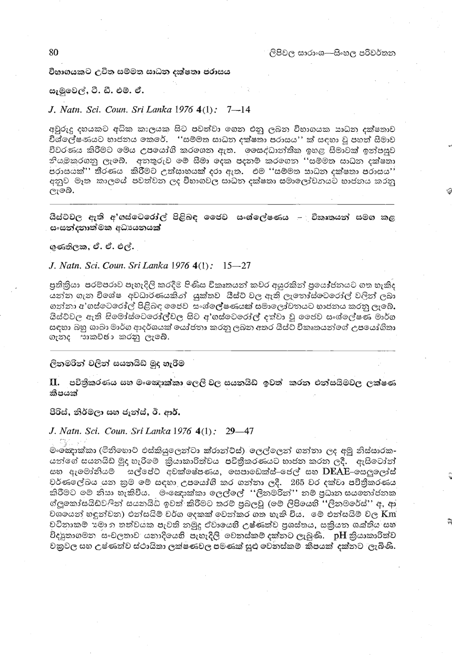#### විහාගයකට උචිත සම්මත සාධන දක්ෂතා පරාසය

#### සැමුවෙල්, ටී. ඩී. එම්. ඒ.

## J. Natn. Sci. Coun. Sri Lanka 1976 4(1): 7-14

අවුරුදු දහයකට අධික කාලයකු සිට පවත්වා මගත එනු ලබන විභාගයක සාධන දක්ෂතාව .<br>විශ්ලේෂණයට හාජනය කෙරේ. ''සම්මත සාධන දක්ෂතා පරාසය'' ක් සඳහා වු පහත් සීමාව විවරණය කිරීමට මෙය උපයෝගි කරගෙන ඇත. <sup>`</sup> මෙසද්ධාන්තික ඉහළ සිමාවක් ඉන්පසුව නියමකරගනු ලැබේ. අනතුරුව මේ සීමා දෙක පදනම් කරගෙන ''සම්මත සාධන දක්ෂනා පරාසයක් $"$  නි්රණය -කිරීමට උත්සාහයක් දරා ඇත. -එම ''සම්මත සාධන දක්ෂතා පරාසය $"\,$ අනුව මෑත කාලයේ පවත්වන ලද විභාගවල සාධත දක්ෂකා සමාලෝචනයට භාජනය කරනු ලැබේ.

යිස්ට්වල ඇති අ'ගස්ටේරෝල් පිළිබඳ ජෛව සංශ්ලේෂණය – විකෘතයන් සමග කළ සංසන්දනාත්මක අධායනයක්

ගුණතිලක, ඒ. ඒ. එල්.

#### J. Natn. Sci. Coun. Sri Lanka 1976 4(1): 15–27

පුතිකියා පරම්පරාව පැහැදිලි කරදීම පිණිස විකෘතයන් කවර අයුරකින් පුයෝජනයට ගත හැකිද .<br>යන්න ගැන විශේෂ අවධාරණයකින් යුක්තව යීස්ට් වල ඇති ලැතෝස්මටරෝල් වලින් ලබා ගන්නා අ'ගස්ටෙරෝල් පිළිබඳ ජෛව සංශ්ලේෂණයක් සමාලෝවනයට හාජනය කරනු ලැබේ. යිස්ට්වල ඇති සිමෝස්වෙරෝල්වල සිට අ'ගස්ටෙරෝල් දක්වා වූ ජෛව සංශ්ලේෂණ මාර්ග සඳහා බහු ශාඛා මාර්ග ආදර්ශයක් යෝජනා කරනු ලබන අතර යිස්වි විකෘතයන්ගේ උපයෝගිතා ගැනද සාකච්ඡා කරනු ලැබේ.

## ලිනමරින් වලින් සයනයිඩ් මුද හැරීම

II. පවිනීකරණය සහ මංඤොක්කා ලෙලි වල සයනයිඩ් ඉවත් කරන එන්සයිමවල ලක්ෂණ කීපයක්

පිරිස්, නිර්මලා සහ ජැත්ස්, ඊ. ආර්.

# J. Natn. Sci. Coun. Sri Lanka 1976 4(1): 29-47

하다 난 මංණ කාක්කා (මිනිහොට එස්කියුලෙන්ටා ක්රාන්ට්ස්) ලෙල්ලෙන් ගන්තා ලද අමු නිස්සාරක-යන්ගේ සයනයිඩ මුද හැරීමෙ `කියාකාරිත්වය පවිතීකරණයට හාජන කරන ලදී. `` ඇසිටෝන් සහ ඇමෝනියම් සල්පේට් අවක්ෂේපණය, සෙපාඩෙක්ස්-ජෙල් සහ DEAE-සෙලුලෝස් වර්ණලේඛය යන කුම මේ සඳහා උපමය $d$ ගි කර ගන්නා ලදී. -265 වර දක්වා පවිතීකරණය කිරීමට මේ නිසා හැකිවිය. මංඤොක්කා ලෙල්ලේ ''ලිනමරින්'' නම් පුධාන සයනෝජනක ග්ලුකෝසයිඩ්වලින් සයනයිඩ් ඉවත් කිරීමට තරම් පුබලවූ (මේ ලිපියෙහි ''ලිනමරේස්'' අ, ආ වශයෙන් හඳුන්වන) එන්සයිම් වර්ග දෙකක් වෙන්කර ගත හැකි විය. මේ එන්සයිම් වල  $\rm{Km}$ වටිනාකම් ඔමා හ තත්වයක පැවති නමුදු ඒවායෙහි උෂ්ණත්ව පුශස්තය, සකියන ශක්තිය සහ විදපුතාගමන සංචලතාව යනාදියෙහි පැහැදිලි වෙතස්කම් දක්තට ලැබුණි.  $\,$  pH කියාකාරිත්ව වනුවල සහ උෂ්ණත්ව ස්ථායිතා ලක්ෂණවල පමණක් සුළු වෙනස්කම කිිපයක් දක්නට ලැබිණි.

80